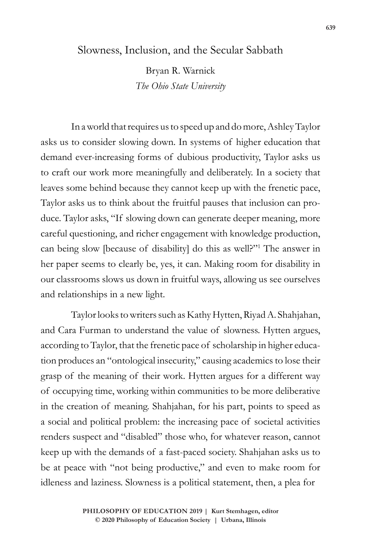## Slowness, Inclusion, and the Secular Sabbath

Bryan R. Warnick *The Ohio State University*

In a world that requires us to speed up and do more, Ashley Taylor asks us to consider slowing down. In systems of higher education that demand ever-increasing forms of dubious productivity, Taylor asks us to craft our work more meaningfully and deliberately. In a society that leaves some behind because they cannot keep up with the frenetic pace, Taylor asks us to think about the fruitful pauses that inclusion can produce. Taylor asks, "If slowing down can generate deeper meaning, more careful questioning, and richer engagement with knowledge production, can being slow [because of disability] do this as well?"1 The answer in her paper seems to clearly be, yes, it can. Making room for disability in our classrooms slows us down in fruitful ways, allowing us see ourselves and relationships in a new light.

Taylor looks to writers such as Kathy Hytten, Riyad A. Shahjahan, and Cara Furman to understand the value of slowness. Hytten argues, according to Taylor, that the frenetic pace of scholarship in higher education produces an "ontological insecurity," causing academics to lose their grasp of the meaning of their work. Hytten argues for a different way of occupying time, working within communities to be more deliberative in the creation of meaning. Shahjahan, for his part, points to speed as a social and political problem: the increasing pace of societal activities renders suspect and "disabled" those who, for whatever reason, cannot keep up with the demands of a fast-paced society. Shahjahan asks us to be at peace with "not being productive," and even to make room for idleness and laziness. Slowness is a political statement, then, a plea for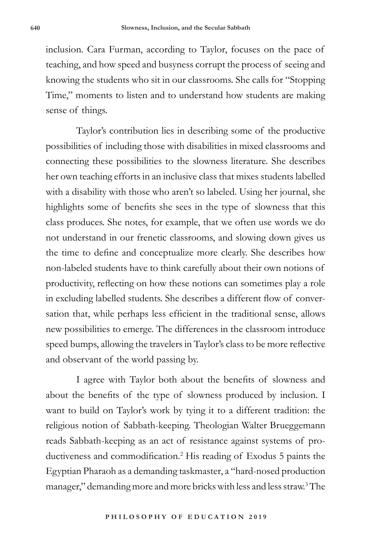inclusion. Cara Furman, according to Taylor, focuses on the pace of teaching, and how speed and busyness corrupt the process of seeing and knowing the students who sit in our classrooms. She calls for "Stopping Time," moments to listen and to understand how students are making sense of things.

Taylor's contribution lies in describing some of the productive possibilities of including those with disabilities in mixed classrooms and connecting these possibilities to the slowness literature. She describes her own teaching efforts in an inclusive class that mixes students labelled with a disability with those who aren't so labeled. Using her journal, she highlights some of benefits she sees in the type of slowness that this class produces. She notes, for example, that we often use words we do not understand in our frenetic classrooms, and slowing down gives us the time to define and conceptualize more clearly. She describes how non-labeled students have to think carefully about their own notions of productivity, reflecting on how these notions can sometimes play a role in excluding labelled students. She describes a different flow of conversation that, while perhaps less efficient in the traditional sense, allows new possibilities to emerge. The differences in the classroom introduce speed bumps, allowing the travelers in Taylor's class to be more reflective and observant of the world passing by.

I agree with Taylor both about the benefits of slowness and about the benefits of the type of slowness produced by inclusion. I want to build on Taylor's work by tying it to a different tradition: the religious notion of Sabbath-keeping. Theologian Walter Brueggemann reads Sabbath-keeping as an act of resistance against systems of productiveness and commodification.<sup>2</sup> His reading of Exodus 5 paints the Egyptian Pharaoh as a demanding taskmaster, a "hard-nosed production manager," demanding more and more bricks with less and less straw.<sup>3</sup> The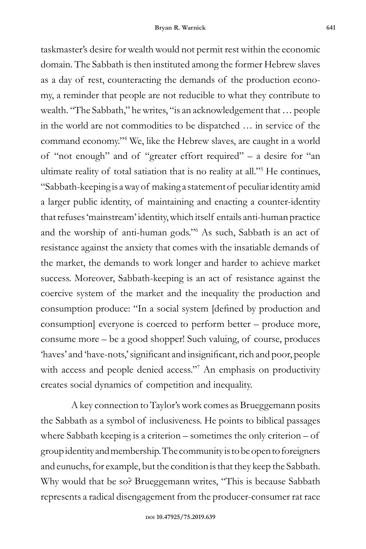taskmaster's desire for wealth would not permit rest within the economic domain. The Sabbath is then instituted among the former Hebrew slaves as a day of rest, counteracting the demands of the production economy, a reminder that people are not reducible to what they contribute to wealth. "The Sabbath," he writes, "is an acknowledgement that … people in the world are not commodities to be dispatched … in service of the command economy."4 We, like the Hebrew slaves, are caught in a world of "not enough" and of "greater effort required" – a desire for "an ultimate reality of total satiation that is no reality at all."5 He continues, "Sabbath-keeping is a way of making a statement of peculiar identity amid a larger public identity, of maintaining and enacting a counter-identity that refuses 'mainstream' identity, which itself entails anti-human practice and the worship of anti-human gods."6 As such, Sabbath is an act of resistance against the anxiety that comes with the insatiable demands of the market, the demands to work longer and harder to achieve market success. Moreover, Sabbath-keeping is an act of resistance against the coercive system of the market and the inequality the production and consumption produce: "In a social system [defined by production and consumption] everyone is coerced to perform better – produce more, consume more – be a good shopper! Such valuing, of course, produces 'haves' and 'have-nots,' significant and insignificant, rich and poor, people with access and people denied access."<sup>7</sup> An emphasis on productivity creates social dynamics of competition and inequality.

A key connection to Taylor's work comes as Brueggemann posits the Sabbath as a symbol of inclusiveness. He points to biblical passages where Sabbath keeping is a criterion – sometimes the only criterion – of group identity and membership. The community is to be open to foreigners and eunuchs, for example, but the condition is that they keep the Sabbath. Why would that be so? Brueggemann writes, "This is because Sabbath represents a radical disengagement from the producer-consumer rat race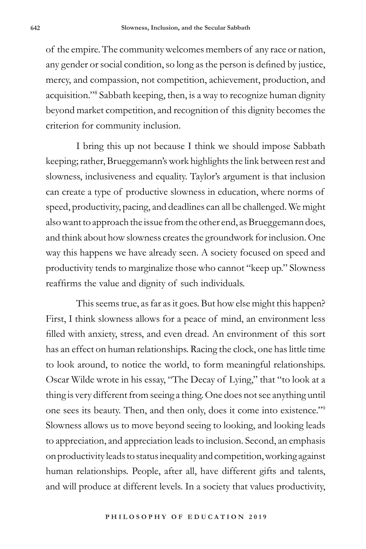of the empire. The community welcomes members of any race or nation, any gender or social condition, so long as the person is defined by justice, mercy, and compassion, not competition, achievement, production, and acquisition."8 Sabbath keeping, then, is a way to recognize human dignity beyond market competition, and recognition of this dignity becomes the criterion for community inclusion.

I bring this up not because I think we should impose Sabbath keeping; rather, Brueggemann's work highlights the link between rest and slowness, inclusiveness and equality. Taylor's argument is that inclusion can create a type of productive slowness in education, where norms of speed, productivity, pacing, and deadlines can all be challenged. We might also want to approach the issue from the other end, as Brueggemann does, and think about how slowness creates the groundwork for inclusion. One way this happens we have already seen. A society focused on speed and productivity tends to marginalize those who cannot "keep up." Slowness reaffirms the value and dignity of such individuals.

This seems true, as far as it goes. But how else might this happen? First, I think slowness allows for a peace of mind, an environment less filled with anxiety, stress, and even dread. An environment of this sort has an effect on human relationships. Racing the clock, one has little time to look around, to notice the world, to form meaningful relationships. Oscar Wilde wrote in his essay, "The Decay of Lying," that "to look at a thing is very different from seeing a thing. One does not see anything until one sees its beauty. Then, and then only, does it come into existence."9 Slowness allows us to move beyond seeing to looking, and looking leads to appreciation, and appreciation leads to inclusion. Second, an emphasis on productivity leads to status inequality and competition, working against human relationships. People, after all, have different gifts and talents, and will produce at different levels. In a society that values productivity,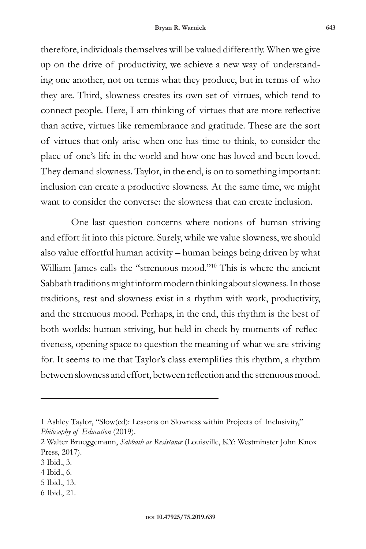therefore, individuals themselves will be valued differently. When we give up on the drive of productivity, we achieve a new way of understanding one another, not on terms what they produce, but in terms of who they are. Third, slowness creates its own set of virtues, which tend to connect people. Here, I am thinking of virtues that are more reflective than active, virtues like remembrance and gratitude. These are the sort of virtues that only arise when one has time to think, to consider the place of one's life in the world and how one has loved and been loved. They demand slowness. Taylor, in the end, is on to something important: inclusion can create a productive slowness. At the same time, we might want to consider the converse: the slowness that can create inclusion.

One last question concerns where notions of human striving and effort fit into this picture. Surely, while we value slowness, we should also value effortful human activity – human beings being driven by what William James calls the "strenuous mood."10 This is where the ancient Sabbath traditions might inform modern thinking about slowness. In those traditions, rest and slowness exist in a rhythm with work, productivity, and the strenuous mood. Perhaps, in the end, this rhythm is the best of both worlds: human striving, but held in check by moments of reflectiveness, opening space to question the meaning of what we are striving for. It seems to me that Taylor's class exemplifies this rhythm, a rhythm between slowness and effort, between reflection and the strenuous mood.

- 5 Ibid., 13.
- 6 Ibid., 21.

 1 Ashley Taylor, "Slow(ed): Lessons on Slowness within Projects of Inclusivity," *Philosophy of Education* (2019).

<sup>2</sup> Walter Brueggemann, *Sabbath as Resistance* (Louisville, KY: Westminster John Knox Press, 2017).

<sup>3</sup> Ibid., 3.

<sup>4</sup> Ibid., 6.